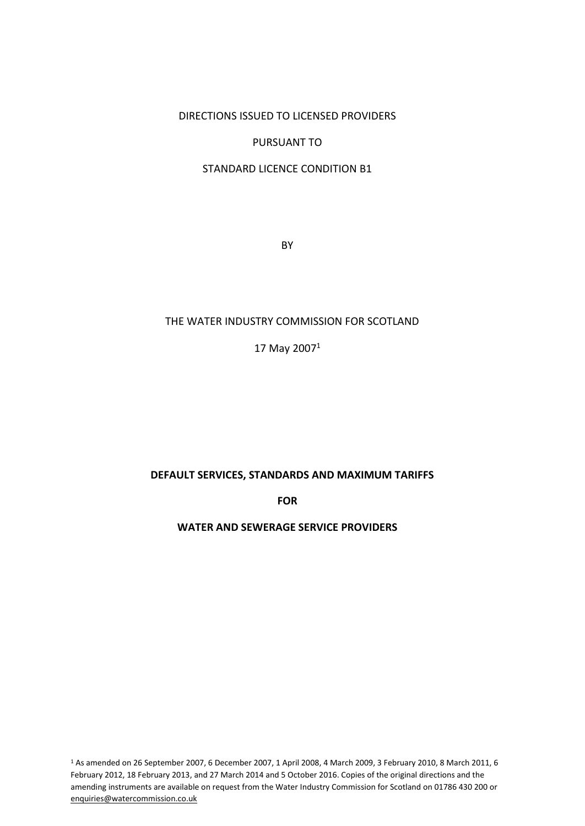DIRECTIONS ISSUED TO LICENSED PROVIDERS

#### PURSUANT TO

### STANDARD LICENCE CONDITION B1

**BY** 

#### THE WATER INDUSTRY COMMISSION FOR SCOTLAND

17 May 2007 $1$ 

#### **DEFAULT SERVICES, STANDARDS AND MAXIMUM TARIFFS**

**FOR** 

### **WATER AND SEWERAGE SERVICE PROVIDERS**

<sup>1</sup> As amended on 26 September 2007, 6 December 2007, 1 April 2008, 4 March 2009, 3 February 2010, 8 March 2011, 6 February 2012, 18 February 2013, and 27 March 2014 and 5 October 2016. Copies of the original directions and the amending instruments are available on request from the Water Industry Commission for Scotland on 01786 430 200 or enquiries@watercommission.co.uk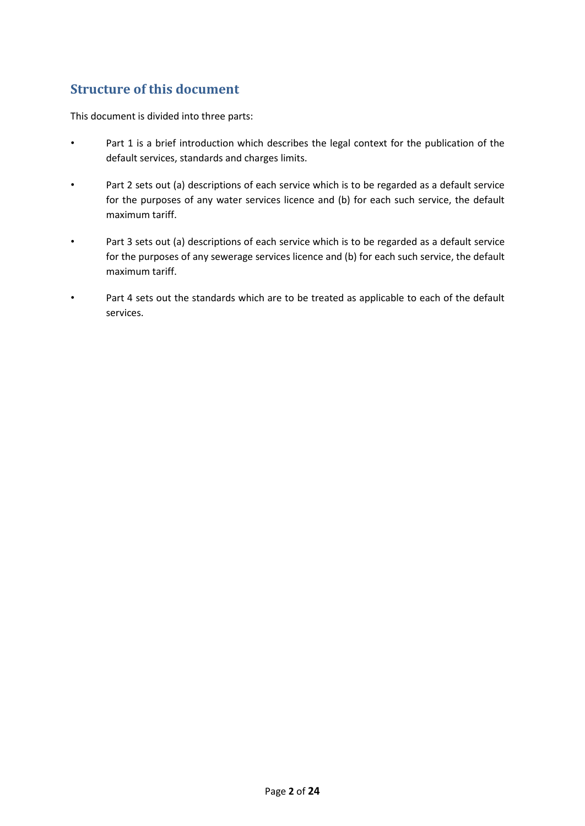# **Structure of this document**

This document is divided into three parts:

- Part 1 is a brief introduction which describes the legal context for the publication of the default services, standards and charges limits.
- Part 2 sets out (a) descriptions of each service which is to be regarded as a default service for the purposes of any water services licence and (b) for each such service, the default maximum tariff.
- Part 3 sets out (a) descriptions of each service which is to be regarded as a default service for the purposes of any sewerage services licence and (b) for each such service, the default maximum tariff.
- Part 4 sets out the standards which are to be treated as applicable to each of the default services.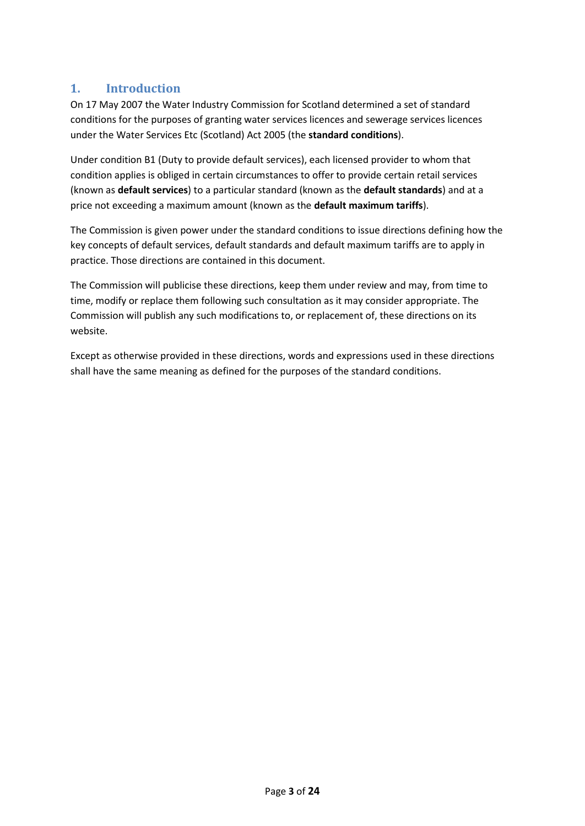# **1. Introduction**

On 17 May 2007 the Water Industry Commission for Scotland determined a set of standard conditions for the purposes of granting water services licences and sewerage services licences under the Water Services Etc (Scotland) Act 2005 (the **standard conditions**).

Under condition B1 (Duty to provide default services), each licensed provider to whom that condition applies is obliged in certain circumstances to offer to provide certain retail services (known as **default services**) to a particular standard (known as the **default standards**) and at a price not exceeding a maximum amount (known as the **default maximum tariffs**).

The Commission is given power under the standard conditions to issue directions defining how the key concepts of default services, default standards and default maximum tariffs are to apply in practice. Those directions are contained in this document.

The Commission will publicise these directions, keep them under review and may, from time to time, modify or replace them following such consultation as it may consider appropriate. The Commission will publish any such modifications to, or replacement of, these directions on its website.

Except as otherwise provided in these directions, words and expressions used in these directions shall have the same meaning as defined for the purposes of the standard conditions.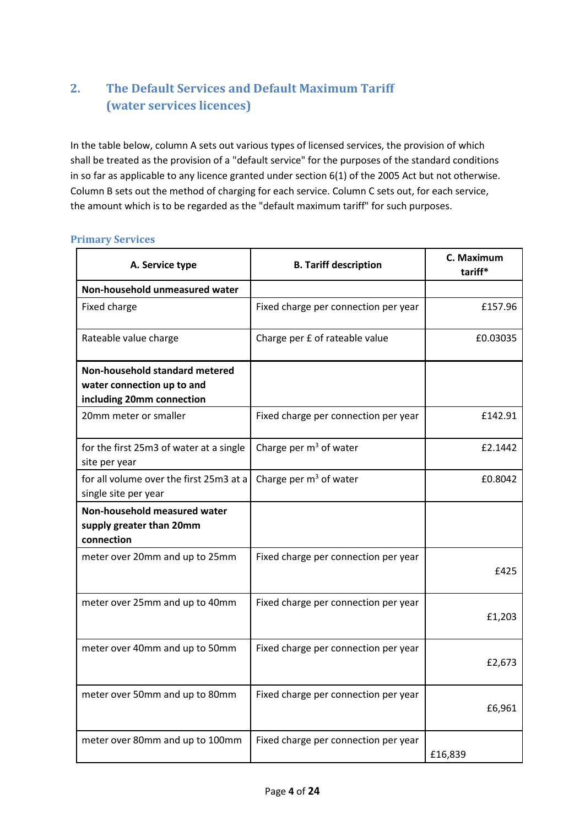# **2. The Default Services and Default Maximum Tariff (water services licences)**

In the table below, column A sets out various types of licensed services, the provision of which shall be treated as the provision of a "default service" for the purposes of the standard conditions in so far as applicable to any licence granted under section 6(1) of the 2005 Act but not otherwise. Column B sets out the method of charging for each service. Column C sets out, for each service, the amount which is to be regarded as the "default maximum tariff" for such purposes.

#### **Primary Services**

| A. Service type                                                                           | <b>B. Tariff description</b>         | C. Maximum<br>tariff* |
|-------------------------------------------------------------------------------------------|--------------------------------------|-----------------------|
| Non-household unmeasured water                                                            |                                      |                       |
| Fixed charge                                                                              | Fixed charge per connection per year | £157.96               |
| Rateable value charge                                                                     | Charge per £ of rateable value       | £0.03035              |
| Non-household standard metered<br>water connection up to and<br>including 20mm connection |                                      |                       |
| 20mm meter or smaller                                                                     | Fixed charge per connection per year | £142.91               |
| for the first 25m3 of water at a single<br>site per year                                  | Charge per $m3$ of water             | £2.1442               |
| for all volume over the first 25m3 at a<br>single site per year                           | Charge per $m3$ of water             | £0.8042               |
| Non-household measured water<br>supply greater than 20mm<br>connection                    |                                      |                       |
| meter over 20mm and up to 25mm                                                            | Fixed charge per connection per year | £425                  |
| meter over 25mm and up to 40mm                                                            | Fixed charge per connection per year | £1,203                |
| meter over 40mm and up to 50mm                                                            | Fixed charge per connection per year | £2,673                |
| meter over 50mm and up to 80mm                                                            | Fixed charge per connection per year | £6,961                |
| meter over 80mm and up to 100mm                                                           | Fixed charge per connection per year | £16,839               |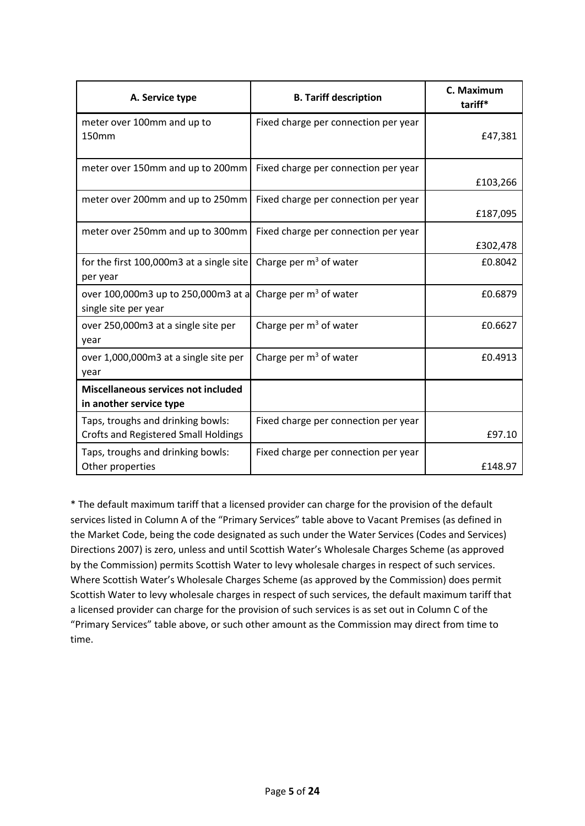| A. Service type                                                                  | <b>B. Tariff description</b>         | C. Maximum<br>tariff* |
|----------------------------------------------------------------------------------|--------------------------------------|-----------------------|
| meter over 100mm and up to<br>150mm                                              | Fixed charge per connection per year | £47,381               |
| meter over 150mm and up to 200mm                                                 | Fixed charge per connection per year | £103,266              |
| meter over 200mm and up to 250mm                                                 | Fixed charge per connection per year | £187,095              |
| meter over 250mm and up to 300mm                                                 | Fixed charge per connection per year | £302,478              |
| for the first 100,000m3 at a single site<br>per year                             | Charge per $m3$ of water             | £0.8042               |
| over 100,000m3 up to 250,000m3 at a<br>single site per year                      | Charge per $m3$ of water             | £0.6879               |
| over 250,000m3 at a single site per<br>year                                      | Charge per m <sup>3</sup> of water   | £0.6627               |
| over 1,000,000m3 at a single site per<br>year                                    | Charge per $m3$ of water             | £0.4913               |
| Miscellaneous services not included<br>in another service type                   |                                      |                       |
| Taps, troughs and drinking bowls:<br><b>Crofts and Registered Small Holdings</b> | Fixed charge per connection per year | £97.10                |
| Taps, troughs and drinking bowls:<br>Other properties                            | Fixed charge per connection per year | £148.97               |

\* The default maximum tariff that a licensed provider can charge for the provision of the default services listed in Column A of the "Primary Services" table above to Vacant Premises (as defined in the Market Code, being the code designated as such under the Water Services (Codes and Services) Directions 2007) is zero, unless and until Scottish Water's Wholesale Charges Scheme (as approved by the Commission) permits Scottish Water to levy wholesale charges in respect of such services. Where Scottish Water's Wholesale Charges Scheme (as approved by the Commission) does permit Scottish Water to levy wholesale charges in respect of such services, the default maximum tariff that a licensed provider can charge for the provision of such services is as set out in Column C of the "Primary Services" table above, or such other amount as the Commission may direct from time to time.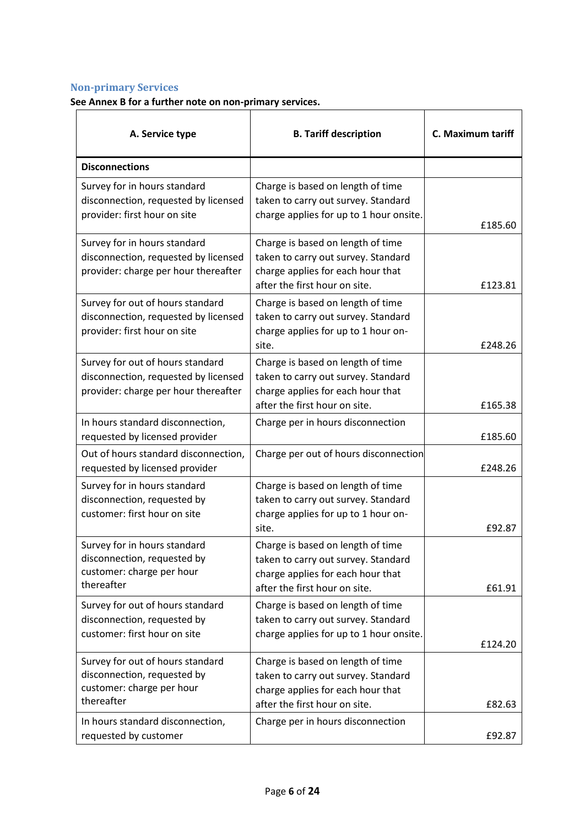# **Non-primary Services**

**See Annex B for a further note on non-primary services.** 

| A. Service type                                                                                                  | <b>B. Tariff description</b>                                                                                                                   | C. Maximum tariff |
|------------------------------------------------------------------------------------------------------------------|------------------------------------------------------------------------------------------------------------------------------------------------|-------------------|
| <b>Disconnections</b>                                                                                            |                                                                                                                                                |                   |
| Survey for in hours standard<br>disconnection, requested by licensed<br>provider: first hour on site             | Charge is based on length of time<br>taken to carry out survey. Standard<br>charge applies for up to 1 hour onsite.                            | £185.60           |
| Survey for in hours standard<br>disconnection, requested by licensed<br>provider: charge per hour thereafter     | Charge is based on length of time<br>taken to carry out survey. Standard<br>charge applies for each hour that<br>after the first hour on site. | £123.81           |
| Survey for out of hours standard<br>disconnection, requested by licensed<br>provider: first hour on site         | Charge is based on length of time<br>taken to carry out survey. Standard<br>charge applies for up to 1 hour on-<br>site.                       | £248.26           |
| Survey for out of hours standard<br>disconnection, requested by licensed<br>provider: charge per hour thereafter | Charge is based on length of time<br>taken to carry out survey. Standard<br>charge applies for each hour that<br>after the first hour on site. | £165.38           |
| In hours standard disconnection,<br>requested by licensed provider                                               | Charge per in hours disconnection                                                                                                              | £185.60           |
| Out of hours standard disconnection,<br>requested by licensed provider                                           | Charge per out of hours disconnection                                                                                                          | £248.26           |
| Survey for in hours standard<br>disconnection, requested by<br>customer: first hour on site                      | Charge is based on length of time<br>taken to carry out survey. Standard<br>charge applies for up to 1 hour on-<br>site.                       | £92.87            |
| Survey for in hours standard<br>disconnection, requested by<br>customer: charge per hour<br>thereafter           | Charge is based on length of time<br>taken to carry out survey. Standard<br>charge applies for each hour that<br>after the first hour on site. | £61.91            |
| Survey for out of hours standard<br>disconnection, requested by<br>customer: first hour on site                  | Charge is based on length of time<br>taken to carry out survey. Standard<br>charge applies for up to 1 hour onsite.                            | £124.20           |
| Survey for out of hours standard<br>disconnection, requested by<br>customer: charge per hour<br>thereafter       | Charge is based on length of time<br>taken to carry out survey. Standard<br>charge applies for each hour that<br>after the first hour on site. | £82.63            |
| In hours standard disconnection,<br>requested by customer                                                        | Charge per in hours disconnection                                                                                                              | £92.87            |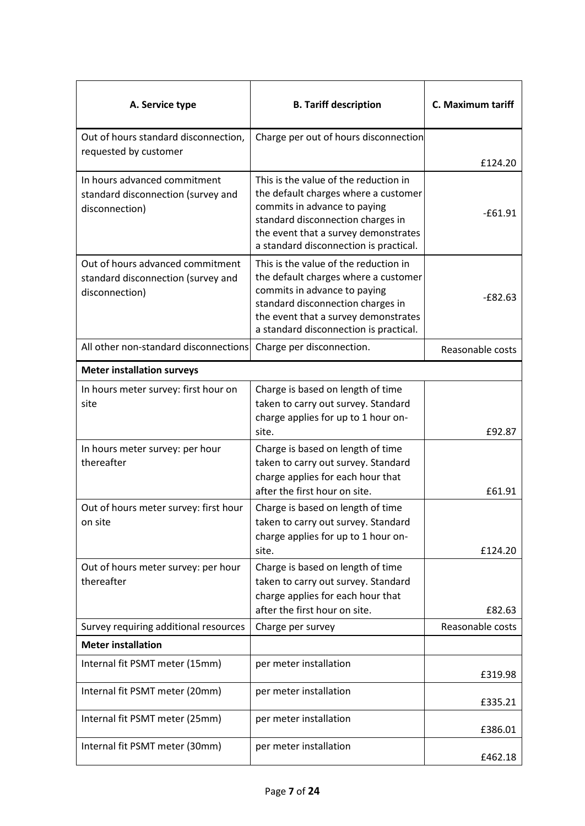| A. Service type                                                                          | <b>B. Tariff description</b>                                                                                                                                                                                                         | C. Maximum tariff |
|------------------------------------------------------------------------------------------|--------------------------------------------------------------------------------------------------------------------------------------------------------------------------------------------------------------------------------------|-------------------|
| Out of hours standard disconnection,                                                     | Charge per out of hours disconnection                                                                                                                                                                                                |                   |
| requested by customer                                                                    |                                                                                                                                                                                                                                      | £124.20           |
| In hours advanced commitment<br>standard disconnection (survey and<br>disconnection)     | This is the value of the reduction in<br>the default charges where a customer<br>commits in advance to paying<br>standard disconnection charges in<br>the event that a survey demonstrates<br>a standard disconnection is practical. | $-61.91$          |
| Out of hours advanced commitment<br>standard disconnection (survey and<br>disconnection) | This is the value of the reduction in<br>the default charges where a customer<br>commits in advance to paying<br>standard disconnection charges in<br>the event that a survey demonstrates<br>a standard disconnection is practical. | $-E82.63$         |
| All other non-standard disconnections                                                    | Charge per disconnection.                                                                                                                                                                                                            | Reasonable costs  |
| <b>Meter installation surveys</b>                                                        |                                                                                                                                                                                                                                      |                   |
| In hours meter survey: first hour on<br>site                                             | Charge is based on length of time<br>taken to carry out survey. Standard<br>charge applies for up to 1 hour on-<br>site.                                                                                                             | £92.87            |
| In hours meter survey: per hour<br>thereafter                                            | Charge is based on length of time<br>taken to carry out survey. Standard<br>charge applies for each hour that<br>after the first hour on site.                                                                                       | £61.91            |
| Out of hours meter survey: first hour<br>on site                                         | Charge is based on length of time<br>taken to carry out survey. Standard<br>charge applies for up to 1 hour on-<br>site.                                                                                                             | £124.20           |
| Out of hours meter survey: per hour<br>thereafter                                        | Charge is based on length of time<br>taken to carry out survey. Standard<br>charge applies for each hour that<br>after the first hour on site.                                                                                       | £82.63            |
| Survey requiring additional resources                                                    | Charge per survey                                                                                                                                                                                                                    | Reasonable costs  |
| <b>Meter installation</b>                                                                |                                                                                                                                                                                                                                      |                   |
| Internal fit PSMT meter (15mm)                                                           | per meter installation                                                                                                                                                                                                               | £319.98           |
| Internal fit PSMT meter (20mm)                                                           | per meter installation                                                                                                                                                                                                               | £335.21           |
| Internal fit PSMT meter (25mm)                                                           | per meter installation                                                                                                                                                                                                               | £386.01           |
| Internal fit PSMT meter (30mm)                                                           | per meter installation                                                                                                                                                                                                               | £462.18           |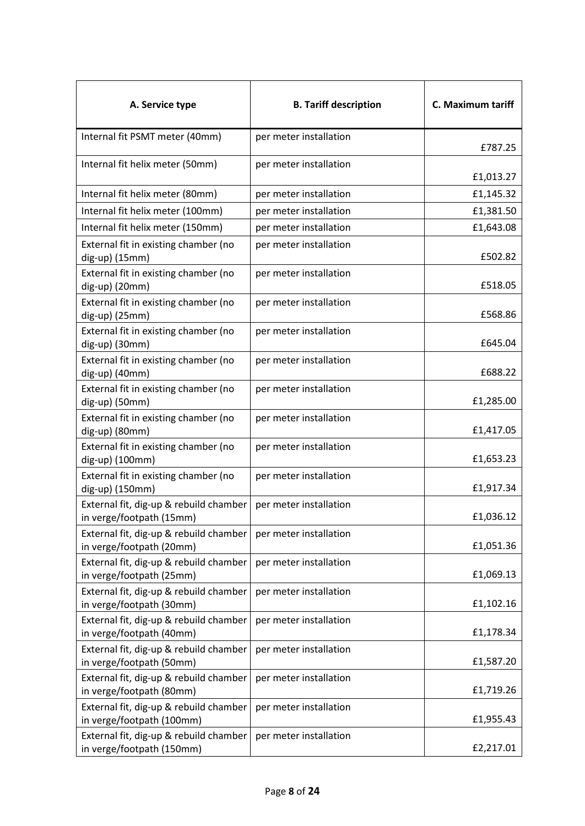| A. Service type                                                     | <b>B. Tariff description</b> | C. Maximum tariff |
|---------------------------------------------------------------------|------------------------------|-------------------|
| Internal fit PSMT meter (40mm)                                      | per meter installation       | £787.25           |
| Internal fit helix meter (50mm)                                     | per meter installation       | £1,013.27         |
| Internal fit helix meter (80mm)                                     | per meter installation       | £1,145.32         |
| Internal fit helix meter (100mm)                                    | per meter installation       | £1,381.50         |
| Internal fit helix meter (150mm)                                    | per meter installation       | £1,643.08         |
| External fit in existing chamber (no<br>dig-up) (15mm)              | per meter installation       | £502.82           |
| External fit in existing chamber (no<br>dig-up) (20mm)              | per meter installation       | £518.05           |
| External fit in existing chamber (no<br>dig-up) (25mm)              | per meter installation       | £568.86           |
| External fit in existing chamber (no<br>dig-up) (30mm)              | per meter installation       | £645.04           |
| External fit in existing chamber (no<br>dig-up) (40mm)              | per meter installation       | £688.22           |
| External fit in existing chamber (no<br>dig-up) (50mm)              | per meter installation       | £1,285.00         |
| External fit in existing chamber (no<br>dig-up) (80mm)              | per meter installation       | £1,417.05         |
| External fit in existing chamber (no<br>dig-up) (100mm)             | per meter installation       | £1,653.23         |
| External fit in existing chamber (no<br>dig-up) (150mm)             | per meter installation       | £1,917.34         |
| External fit, dig-up & rebuild chamber<br>in verge/footpath (15mm)  | per meter installation       | £1,036.12         |
| External fit, dig-up & rebuild chamber<br>in verge/footpath (20mm)  | per meter installation       | £1,051.36         |
| External fit, dig-up & rebuild chamber<br>in verge/footpath (25mm)  | per meter installation       | £1,069.13         |
| External fit, dig-up & rebuild chamber<br>in verge/footpath (30mm)  | per meter installation       | £1,102.16         |
| External fit, dig-up & rebuild chamber<br>in verge/footpath (40mm)  | per meter installation       | £1,178.34         |
| External fit, dig-up & rebuild chamber<br>in verge/footpath (50mm)  | per meter installation       | £1,587.20         |
| External fit, dig-up & rebuild chamber<br>in verge/footpath (80mm)  | per meter installation       | £1,719.26         |
| External fit, dig-up & rebuild chamber<br>in verge/footpath (100mm) | per meter installation       | £1,955.43         |
| External fit, dig-up & rebuild chamber<br>in verge/footpath (150mm) | per meter installation       | £2,217.01         |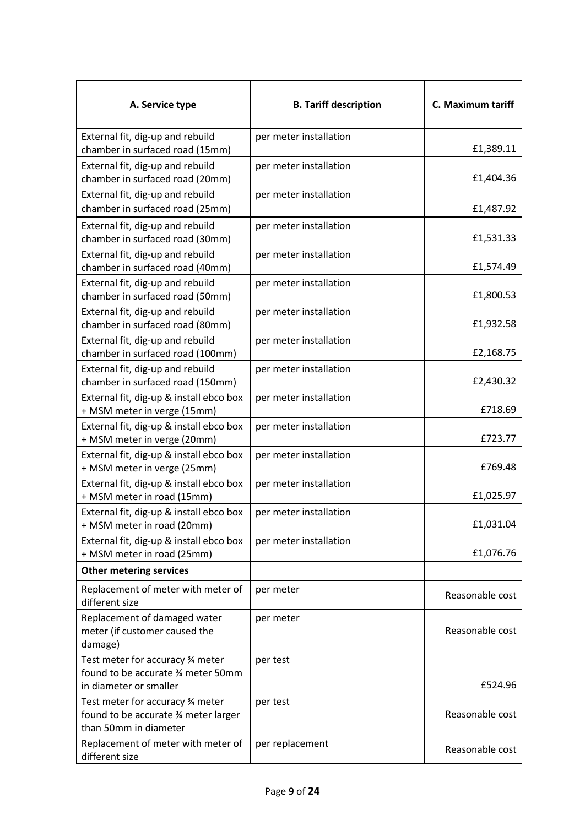| A. Service type                                                                                   | <b>B. Tariff description</b> | C. Maximum tariff |
|---------------------------------------------------------------------------------------------------|------------------------------|-------------------|
| External fit, dig-up and rebuild<br>chamber in surfaced road (15mm)                               | per meter installation       | £1,389.11         |
| External fit, dig-up and rebuild<br>chamber in surfaced road (20mm)                               | per meter installation       | £1,404.36         |
| External fit, dig-up and rebuild<br>chamber in surfaced road (25mm)                               | per meter installation       | £1,487.92         |
| External fit, dig-up and rebuild<br>chamber in surfaced road (30mm)                               | per meter installation       | £1,531.33         |
| External fit, dig-up and rebuild<br>chamber in surfaced road (40mm)                               | per meter installation       | £1,574.49         |
| External fit, dig-up and rebuild<br>chamber in surfaced road (50mm)                               | per meter installation       | £1,800.53         |
| External fit, dig-up and rebuild<br>chamber in surfaced road (80mm)                               | per meter installation       | £1,932.58         |
| External fit, dig-up and rebuild<br>chamber in surfaced road (100mm)                              | per meter installation       | £2,168.75         |
| External fit, dig-up and rebuild<br>chamber in surfaced road (150mm)                              | per meter installation       | £2,430.32         |
| External fit, dig-up & install ebco box<br>+ MSM meter in verge (15mm)                            | per meter installation       | £718.69           |
| External fit, dig-up & install ebco box<br>+ MSM meter in verge (20mm)                            | per meter installation       | £723.77           |
| External fit, dig-up & install ebco box<br>+ MSM meter in verge (25mm)                            | per meter installation       | £769.48           |
| External fit, dig-up & install ebco box<br>+ MSM meter in road (15mm)                             | per meter installation       | £1,025.97         |
| External fit, dig-up & install ebco box<br>+ MSM meter in road (20mm)                             | per meter installation       | £1,031.04         |
| External fit, dig-up & install ebco box<br>+ MSM meter in road (25mm)                             | per meter installation       | £1,076.76         |
| <b>Other metering services</b>                                                                    |                              |                   |
| Replacement of meter with meter of<br>different size                                              | per meter                    | Reasonable cost   |
| Replacement of damaged water<br>meter (if customer caused the<br>damage)                          | per meter                    | Reasonable cost   |
| Test meter for accuracy 34 meter<br>found to be accurate 3⁄4 meter 50mm<br>in diameter or smaller | per test                     | £524.96           |
| Test meter for accuracy 34 meter<br>found to be accurate 34 meter larger<br>than 50mm in diameter | per test                     | Reasonable cost   |
| Replacement of meter with meter of<br>different size                                              | per replacement              | Reasonable cost   |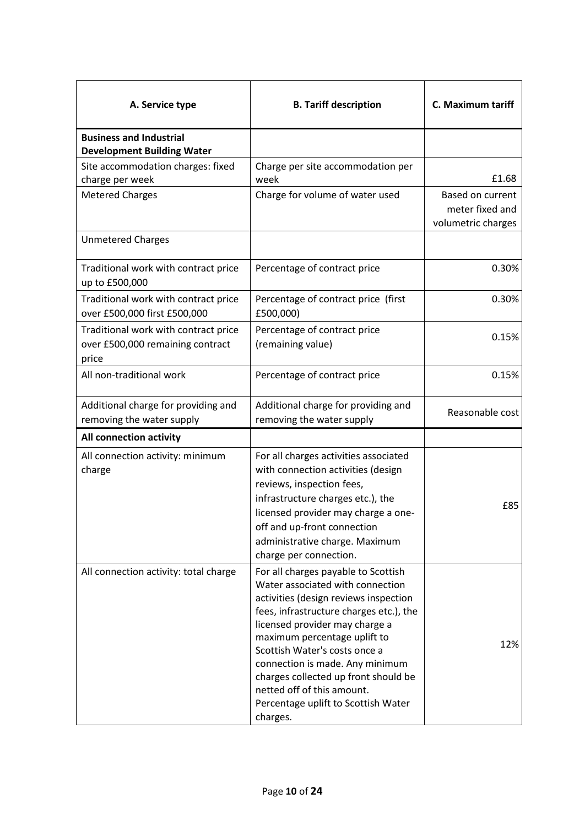| A. Service type                                                                   | <b>B. Tariff description</b>                                                                                                                                                                                                                                                                                                                                                                                               | C. Maximum tariff                                         |
|-----------------------------------------------------------------------------------|----------------------------------------------------------------------------------------------------------------------------------------------------------------------------------------------------------------------------------------------------------------------------------------------------------------------------------------------------------------------------------------------------------------------------|-----------------------------------------------------------|
| <b>Business and Industrial</b><br><b>Development Building Water</b>               |                                                                                                                                                                                                                                                                                                                                                                                                                            |                                                           |
| Site accommodation charges: fixed<br>charge per week                              | Charge per site accommodation per<br>week                                                                                                                                                                                                                                                                                                                                                                                  | £1.68                                                     |
| <b>Metered Charges</b>                                                            | Charge for volume of water used                                                                                                                                                                                                                                                                                                                                                                                            | Based on current<br>meter fixed and<br>volumetric charges |
| <b>Unmetered Charges</b>                                                          |                                                                                                                                                                                                                                                                                                                                                                                                                            |                                                           |
| Traditional work with contract price<br>up to £500,000                            | Percentage of contract price                                                                                                                                                                                                                                                                                                                                                                                               | 0.30%                                                     |
| Traditional work with contract price<br>over £500,000 first £500,000              | Percentage of contract price (first<br>£500,000)                                                                                                                                                                                                                                                                                                                                                                           | 0.30%                                                     |
| Traditional work with contract price<br>over £500,000 remaining contract<br>price | Percentage of contract price<br>(remaining value)                                                                                                                                                                                                                                                                                                                                                                          | 0.15%                                                     |
| All non-traditional work                                                          | Percentage of contract price                                                                                                                                                                                                                                                                                                                                                                                               | 0.15%                                                     |
| Additional charge for providing and<br>removing the water supply                  | Additional charge for providing and<br>removing the water supply                                                                                                                                                                                                                                                                                                                                                           | Reasonable cost                                           |
| All connection activity                                                           |                                                                                                                                                                                                                                                                                                                                                                                                                            |                                                           |
| All connection activity: minimum<br>charge                                        | For all charges activities associated<br>with connection activities (design<br>reviews, inspection fees,<br>infrastructure charges etc.), the<br>licensed provider may charge a one-<br>off and up-front connection<br>administrative charge. Maximum<br>charge per connection.                                                                                                                                            | £85                                                       |
| All connection activity: total charge                                             | For all charges payable to Scottish<br>Water associated with connection<br>activities (design reviews inspection<br>fees, infrastructure charges etc.), the<br>licensed provider may charge a<br>maximum percentage uplift to<br>Scottish Water's costs once a<br>connection is made. Any minimum<br>charges collected up front should be<br>netted off of this amount.<br>Percentage uplift to Scottish Water<br>charges. | 12%                                                       |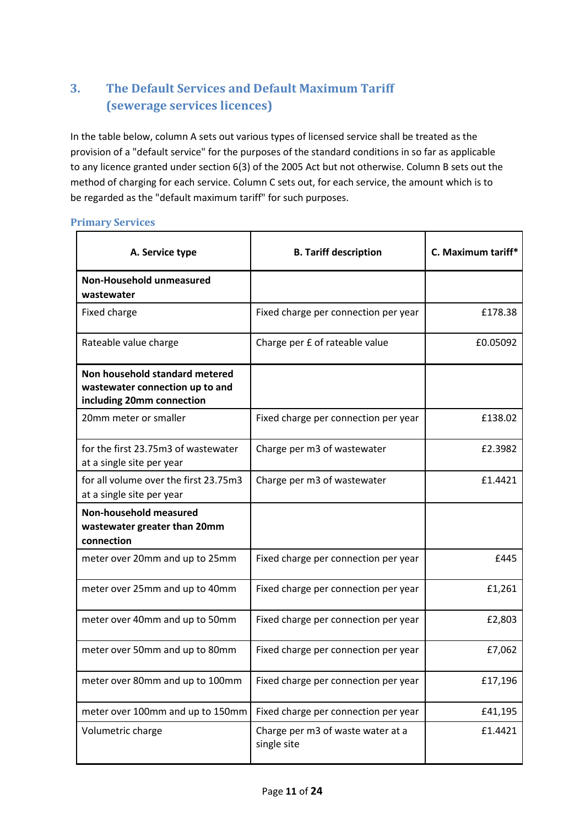# **3. The Default Services and Default Maximum Tariff (sewerage services licences)**

In the table below, column A sets out various types of licensed service shall be treated as the provision of a "default service" for the purposes of the standard conditions in so far as applicable to any licence granted under section 6(3) of the 2005 Act but not otherwise. Column B sets out the method of charging for each service. Column C sets out, for each service, the amount which is to be regarded as the "default maximum tariff" for such purposes.

#### **Primary Services**

| A. Service type                                                                                | <b>B. Tariff description</b>                     | C. Maximum tariff* |
|------------------------------------------------------------------------------------------------|--------------------------------------------------|--------------------|
| Non-Household unmeasured<br>wastewater                                                         |                                                  |                    |
| Fixed charge                                                                                   | Fixed charge per connection per year             | £178.38            |
| Rateable value charge                                                                          | Charge per £ of rateable value                   | £0.05092           |
| Non household standard metered<br>wastewater connection up to and<br>including 20mm connection |                                                  |                    |
| 20mm meter or smaller                                                                          | Fixed charge per connection per year             | £138.02            |
| for the first 23.75m3 of wastewater<br>at a single site per year                               | Charge per m3 of wastewater                      | £2.3982            |
| for all volume over the first 23.75m3<br>at a single site per year                             | Charge per m3 of wastewater                      | f1.4421            |
| Non-household measured<br>wastewater greater than 20mm<br>connection                           |                                                  |                    |
| meter over 20mm and up to 25mm                                                                 | Fixed charge per connection per year             | £445               |
| meter over 25mm and up to 40mm                                                                 | Fixed charge per connection per year             | £1,261             |
| meter over 40mm and up to 50mm                                                                 | Fixed charge per connection per year             | £2,803             |
| meter over 50mm and up to 80mm                                                                 | Fixed charge per connection per year             | £7,062             |
| meter over 80mm and up to 100mm                                                                | Fixed charge per connection per year             | £17,196            |
| meter over 100mm and up to 150mm                                                               | Fixed charge per connection per year             | £41,195            |
| Volumetric charge                                                                              | Charge per m3 of waste water at a<br>single site | £1.4421            |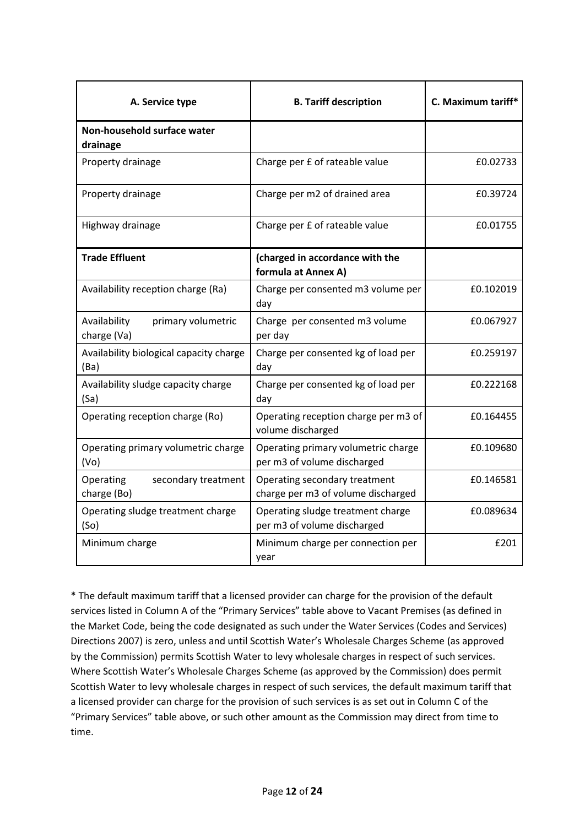| A. Service type                                          | <b>B. Tariff description</b>                                        | C. Maximum tariff* |
|----------------------------------------------------------|---------------------------------------------------------------------|--------------------|
| Non-household surface water<br>drainage                  |                                                                     |                    |
| Property drainage                                        | Charge per £ of rateable value                                      | £0.02733           |
| Property drainage                                        | Charge per m2 of drained area                                       | £0.39724           |
| Highway drainage                                         | Charge per £ of rateable value                                      | £0.01755           |
| <b>Trade Effluent</b>                                    | (charged in accordance with the<br>formula at Annex A)              |                    |
| Availability reception charge (Ra)                       | Charge per consented m3 volume per<br>day                           | £0.102019          |
| Availability<br>primary volumetric<br>charge (Va)        | Charge per consented m3 volume<br>per day                           | £0.067927          |
| Availability biological capacity charge<br>(Ba)          | Charge per consented kg of load per<br>day                          | £0.259197          |
| Availability sludge capacity charge<br>(Sa)              | Charge per consented kg of load per<br>day                          | £0.222168          |
| Operating reception charge (Ro)                          | Operating reception charge per m3 of<br>volume discharged           | £0.164455          |
| Operating primary volumetric charge<br>(V <sub>O</sub> ) | Operating primary volumetric charge<br>per m3 of volume discharged  | £0.109680          |
| Operating<br>secondary treatment<br>charge (Bo)          | Operating secondary treatment<br>charge per m3 of volume discharged | £0.146581          |
| Operating sludge treatment charge<br>(S <sub>O</sub> )   | Operating sludge treatment charge<br>per m3 of volume discharged    | £0.089634          |
| Minimum charge                                           | Minimum charge per connection per<br>year                           | £201               |

\* The default maximum tariff that a licensed provider can charge for the provision of the default services listed in Column A of the "Primary Services" table above to Vacant Premises (as defined in the Market Code, being the code designated as such under the Water Services (Codes and Services) Directions 2007) is zero, unless and until Scottish Water's Wholesale Charges Scheme (as approved by the Commission) permits Scottish Water to levy wholesale charges in respect of such services. Where Scottish Water's Wholesale Charges Scheme (as approved by the Commission) does permit Scottish Water to levy wholesale charges in respect of such services, the default maximum tariff that a licensed provider can charge for the provision of such services is as set out in Column C of the "Primary Services" table above, or such other amount as the Commission may direct from time to time.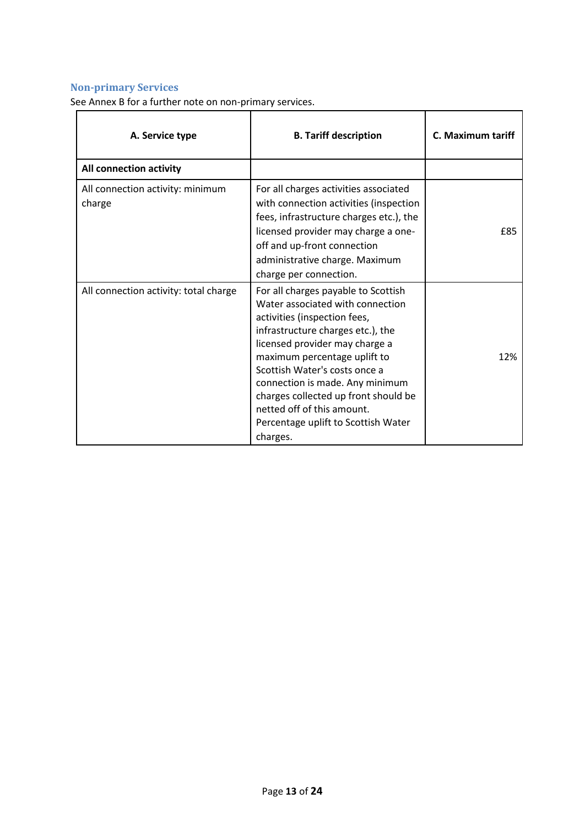# **Non-primary Services**

See Annex B for a further note on non-primary services.

| A. Service type                            | <b>B. Tariff description</b>                                                                                                                                                                                                                                                                                                                                                                                | C. Maximum tariff |
|--------------------------------------------|-------------------------------------------------------------------------------------------------------------------------------------------------------------------------------------------------------------------------------------------------------------------------------------------------------------------------------------------------------------------------------------------------------------|-------------------|
| All connection activity                    |                                                                                                                                                                                                                                                                                                                                                                                                             |                   |
| All connection activity: minimum<br>charge | For all charges activities associated<br>with connection activities (inspection<br>fees, infrastructure charges etc.), the<br>licensed provider may charge a one-<br>off and up-front connection<br>administrative charge. Maximum<br>charge per connection.                                                                                                                                                | £85               |
| All connection activity: total charge      | For all charges payable to Scottish<br>Water associated with connection<br>activities (inspection fees,<br>infrastructure charges etc.), the<br>licensed provider may charge a<br>maximum percentage uplift to<br>Scottish Water's costs once a<br>connection is made. Any minimum<br>charges collected up front should be<br>netted off of this amount.<br>Percentage uplift to Scottish Water<br>charges. | 12%               |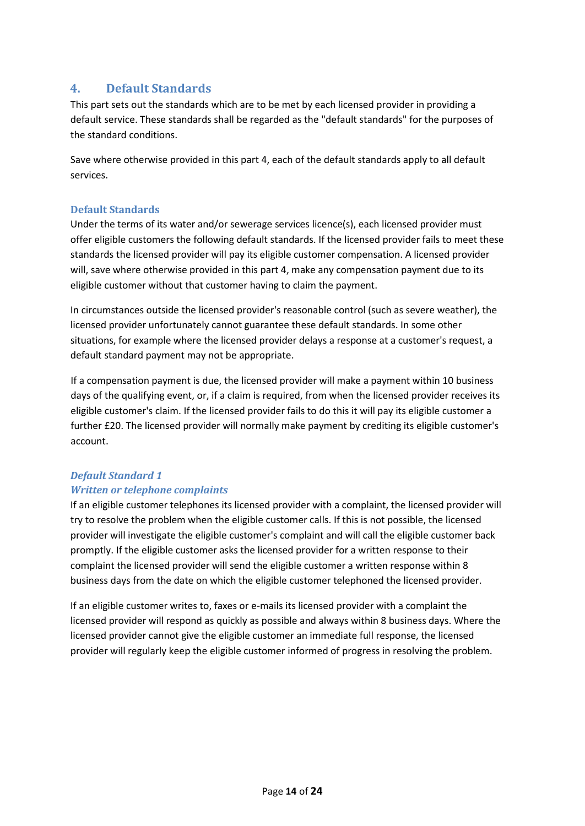## **4. Default Standards**

This part sets out the standards which are to be met by each licensed provider in providing a default service. These standards shall be regarded as the "default standards" for the purposes of the standard conditions.

Save where otherwise provided in this part 4, each of the default standards apply to all default services.

### **Default Standards**

Under the terms of its water and/or sewerage services licence(s), each licensed provider must offer eligible customers the following default standards. If the licensed provider fails to meet these standards the licensed provider will pay its eligible customer compensation. A licensed provider will, save where otherwise provided in this part 4, make any compensation payment due to its eligible customer without that customer having to claim the payment.

In circumstances outside the licensed provider's reasonable control (such as severe weather), the licensed provider unfortunately cannot guarantee these default standards. In some other situations, for example where the licensed provider delays a response at a customer's request, a default standard payment may not be appropriate.

If a compensation payment is due, the licensed provider will make a payment within 10 business days of the qualifying event, or, if a claim is required, from when the licensed provider receives its eligible customer's claim. If the licensed provider fails to do this it will pay its eligible customer a further £20. The licensed provider will normally make payment by crediting its eligible customer's account.

## *Default Standard 1 Written or telephone complaints*

If an eligible customer telephones its licensed provider with a complaint, the licensed provider will try to resolve the problem when the eligible customer calls. If this is not possible, the licensed provider will investigate the eligible customer's complaint and will call the eligible customer back promptly. If the eligible customer asks the licensed provider for a written response to their complaint the licensed provider will send the eligible customer a written response within 8 business days from the date on which the eligible customer telephoned the licensed provider.

If an eligible customer writes to, faxes or e-mails its licensed provider with a complaint the licensed provider will respond as quickly as possible and always within 8 business days. Where the licensed provider cannot give the eligible customer an immediate full response, the licensed provider will regularly keep the eligible customer informed of progress in resolving the problem.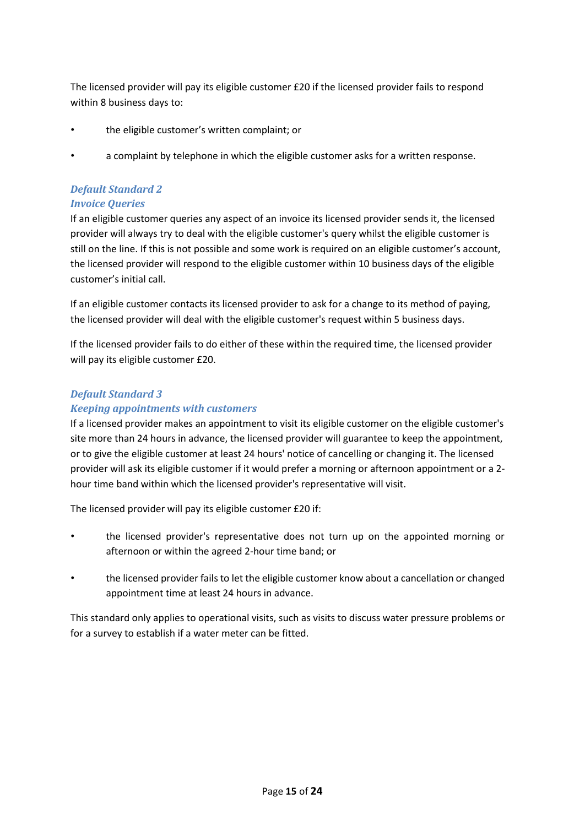The licensed provider will pay its eligible customer £20 if the licensed provider fails to respond within 8 business days to:

- the eligible customer's written complaint; or
- a complaint by telephone in which the eligible customer asks for a written response.

## *Default Standard 2*

### *Invoice Queries*

If an eligible customer queries any aspect of an invoice its licensed provider sends it, the licensed provider will always try to deal with the eligible customer's query whilst the eligible customer is still on the line. If this is not possible and some work is required on an eligible customer's account, the licensed provider will respond to the eligible customer within 10 business days of the eligible customer's initial call.

If an eligible customer contacts its licensed provider to ask for a change to its method of paying, the licensed provider will deal with the eligible customer's request within 5 business days.

If the licensed provider fails to do either of these within the required time, the licensed provider will pay its eligible customer £20.

## *Default Standard 3*

### *Keeping appointments with customers*

If a licensed provider makes an appointment to visit its eligible customer on the eligible customer's site more than 24 hours in advance, the licensed provider will guarantee to keep the appointment, or to give the eligible customer at least 24 hours' notice of cancelling or changing it. The licensed provider will ask its eligible customer if it would prefer a morning or afternoon appointment or a 2 hour time band within which the licensed provider's representative will visit.

The licensed provider will pay its eligible customer £20 if:

- the licensed provider's representative does not turn up on the appointed morning or afternoon or within the agreed 2-hour time band; or
- the licensed provider fails to let the eligible customer know about a cancellation or changed appointment time at least 24 hours in advance.

This standard only applies to operational visits, such as visits to discuss water pressure problems or for a survey to establish if a water meter can be fitted.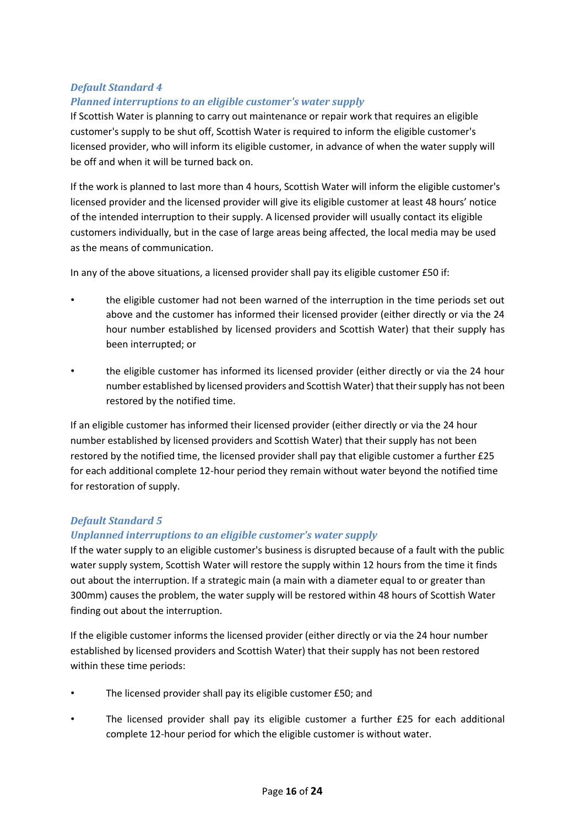## *Default Standard 4 Planned interruptions to an eligible customer's water supply*

If Scottish Water is planning to carry out maintenance or repair work that requires an eligible customer's supply to be shut off, Scottish Water is required to inform the eligible customer's licensed provider, who will inform its eligible customer, in advance of when the water supply will be off and when it will be turned back on.

If the work is planned to last more than 4 hours, Scottish Water will inform the eligible customer's licensed provider and the licensed provider will give its eligible customer at least 48 hours' notice of the intended interruption to their supply. A licensed provider will usually contact its eligible customers individually, but in the case of large areas being affected, the local media may be used as the means of communication.

In any of the above situations, a licensed provider shall pay its eligible customer £50 if:

- the eligible customer had not been warned of the interruption in the time periods set out above and the customer has informed their licensed provider (either directly or via the 24 hour number established by licensed providers and Scottish Water) that their supply has been interrupted; or
- the eligible customer has informed its licensed provider (either directly or via the 24 hour number established by licensed providers and Scottish Water) that their supply has not been restored by the notified time.

If an eligible customer has informed their licensed provider (either directly or via the 24 hour number established by licensed providers and Scottish Water) that their supply has not been restored by the notified time, the licensed provider shall pay that eligible customer a further £25 for each additional complete 12-hour period they remain without water beyond the notified time for restoration of supply.

## *Default Standard 5*

## *Unplanned interruptions to an eligible customer's water supply*

If the water supply to an eligible customer's business is disrupted because of a fault with the public water supply system, Scottish Water will restore the supply within 12 hours from the time it finds out about the interruption. If a strategic main (a main with a diameter equal to or greater than 300mm) causes the problem, the water supply will be restored within 48 hours of Scottish Water finding out about the interruption.

If the eligible customer informs the licensed provider (either directly or via the 24 hour number established by licensed providers and Scottish Water) that their supply has not been restored within these time periods:

- The licensed provider shall pay its eligible customer £50; and
- The licensed provider shall pay its eligible customer a further £25 for each additional complete 12-hour period for which the eligible customer is without water.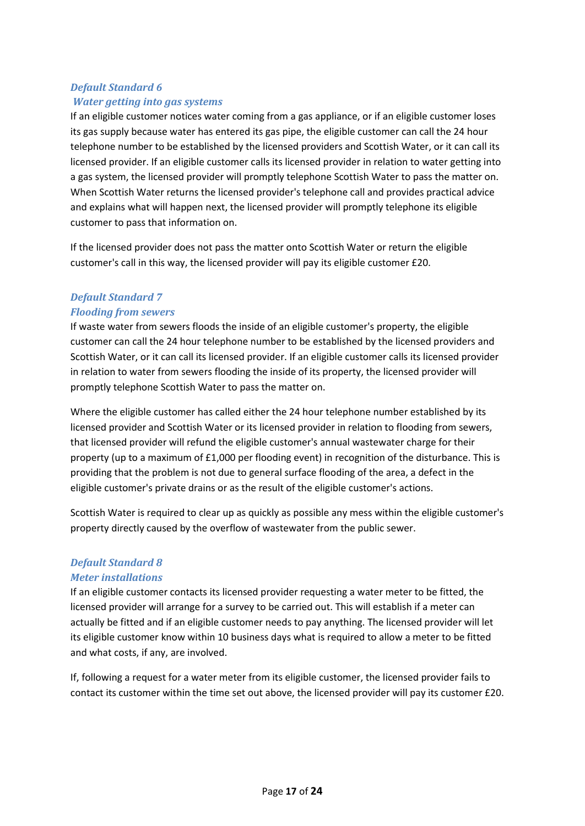# *Default Standard 6 Water getting into gas systems*

If an eligible customer notices water coming from a gas appliance, or if an eligible customer loses its gas supply because water has entered its gas pipe, the eligible customer can call the 24 hour telephone number to be established by the licensed providers and Scottish Water, or it can call its licensed provider. If an eligible customer calls its licensed provider in relation to water getting into a gas system, the licensed provider will promptly telephone Scottish Water to pass the matter on. When Scottish Water returns the licensed provider's telephone call and provides practical advice and explains what will happen next, the licensed provider will promptly telephone its eligible customer to pass that information on.

If the licensed provider does not pass the matter onto Scottish Water or return the eligible customer's call in this way, the licensed provider will pay its eligible customer £20.

## *Default Standard 7 Flooding from sewers*

If waste water from sewers floods the inside of an eligible customer's property, the eligible customer can call the 24 hour telephone number to be established by the licensed providers and Scottish Water, or it can call its licensed provider. If an eligible customer calls its licensed provider in relation to water from sewers flooding the inside of its property, the licensed provider will promptly telephone Scottish Water to pass the matter on.

Where the eligible customer has called either the 24 hour telephone number established by its licensed provider and Scottish Water or its licensed provider in relation to flooding from sewers, that licensed provider will refund the eligible customer's annual wastewater charge for their property (up to a maximum of £1,000 per flooding event) in recognition of the disturbance. This is providing that the problem is not due to general surface flooding of the area, a defect in the eligible customer's private drains or as the result of the eligible customer's actions.

Scottish Water is required to clear up as quickly as possible any mess within the eligible customer's property directly caused by the overflow of wastewater from the public sewer.

### *Default Standard 8 Meter installations*

If an eligible customer contacts its licensed provider requesting a water meter to be fitted, the licensed provider will arrange for a survey to be carried out. This will establish if a meter can actually be fitted and if an eligible customer needs to pay anything. The licensed provider will let its eligible customer know within 10 business days what is required to allow a meter to be fitted and what costs, if any, are involved.

If, following a request for a water meter from its eligible customer, the licensed provider fails to contact its customer within the time set out above, the licensed provider will pay its customer £20.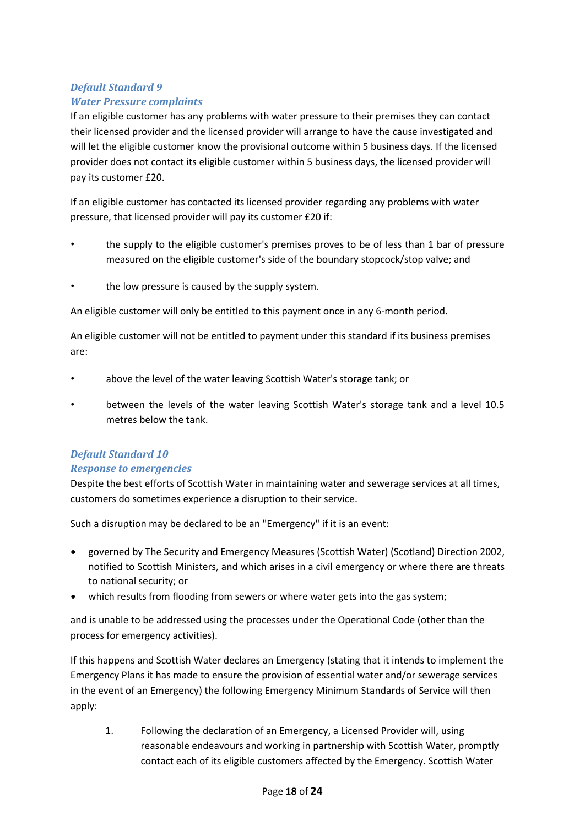# *Default Standard 9 Water Pressure complaints*

If an eligible customer has any problems with water pressure to their premises they can contact their licensed provider and the licensed provider will arrange to have the cause investigated and will let the eligible customer know the provisional outcome within 5 business days. If the licensed provider does not contact its eligible customer within 5 business days, the licensed provider will pay its customer £20.

If an eligible customer has contacted its licensed provider regarding any problems with water pressure, that licensed provider will pay its customer £20 if:

- the supply to the eligible customer's premises proves to be of less than 1 bar of pressure measured on the eligible customer's side of the boundary stopcock/stop valve; and
- the low pressure is caused by the supply system.

An eligible customer will only be entitled to this payment once in any 6-month period.

An eligible customer will not be entitled to payment under this standard if its business premises are:

- above the level of the water leaving Scottish Water's storage tank; or
- between the levels of the water leaving Scottish Water's storage tank and a level 10.5 metres below the tank.

### *Default Standard 10*

### *Response to emergencies*

Despite the best efforts of Scottish Water in maintaining water and sewerage services at all times, customers do sometimes experience a disruption to their service.

Such a disruption may be declared to be an "Emergency" if it is an event:

- governed by The Security and Emergency Measures (Scottish Water) (Scotland) Direction 2002, notified to Scottish Ministers, and which arises in a civil emergency or where there are threats to national security; or
- which results from flooding from sewers or where water gets into the gas system;

and is unable to be addressed using the processes under the Operational Code (other than the process for emergency activities).

If this happens and Scottish Water declares an Emergency (stating that it intends to implement the Emergency Plans it has made to ensure the provision of essential water and/or sewerage services in the event of an Emergency) the following Emergency Minimum Standards of Service will then apply:

1. Following the declaration of an Emergency, a Licensed Provider will, using reasonable endeavours and working in partnership with Scottish Water, promptly contact each of its eligible customers affected by the Emergency. Scottish Water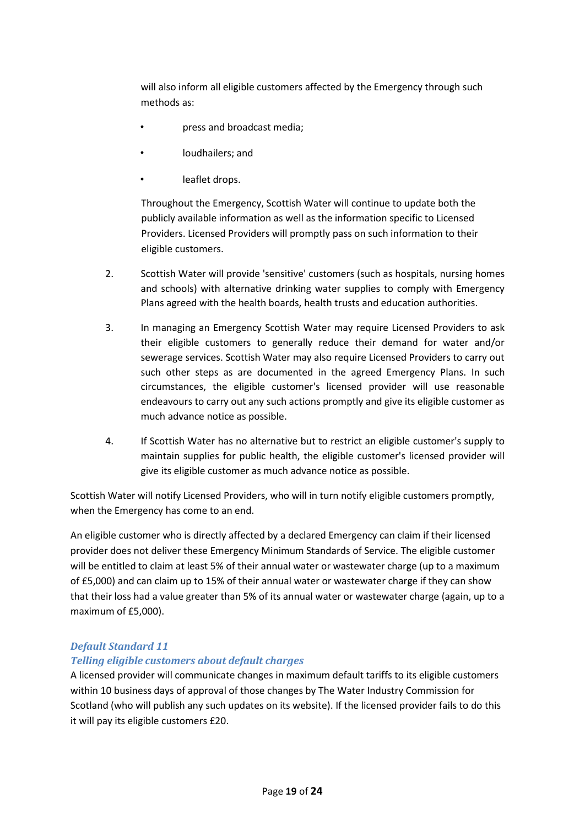will also inform all eligible customers affected by the Emergency through such methods as:

- press and broadcast media;
- loudhailers; and
- leaflet drops.

Throughout the Emergency, Scottish Water will continue to update both the publicly available information as well as the information specific to Licensed Providers. Licensed Providers will promptly pass on such information to their eligible customers.

- 2. Scottish Water will provide 'sensitive' customers (such as hospitals, nursing homes and schools) with alternative drinking water supplies to comply with Emergency Plans agreed with the health boards, health trusts and education authorities.
- 3. In managing an Emergency Scottish Water may require Licensed Providers to ask their eligible customers to generally reduce their demand for water and/or sewerage services. Scottish Water may also require Licensed Providers to carry out such other steps as are documented in the agreed Emergency Plans. In such circumstances, the eligible customer's licensed provider will use reasonable endeavours to carry out any such actions promptly and give its eligible customer as much advance notice as possible.
- 4. If Scottish Water has no alternative but to restrict an eligible customer's supply to maintain supplies for public health, the eligible customer's licensed provider will give its eligible customer as much advance notice as possible.

Scottish Water will notify Licensed Providers, who will in turn notify eligible customers promptly, when the Emergency has come to an end.

An eligible customer who is directly affected by a declared Emergency can claim if their licensed provider does not deliver these Emergency Minimum Standards of Service. The eligible customer will be entitled to claim at least 5% of their annual water or wastewater charge (up to a maximum of £5,000) and can claim up to 15% of their annual water or wastewater charge if they can show that their loss had a value greater than 5% of its annual water or wastewater charge (again, up to a maximum of £5,000).

## *Default Standard 11*

### *Telling eligible customers about default charges*

A licensed provider will communicate changes in maximum default tariffs to its eligible customers within 10 business days of approval of those changes by The Water Industry Commission for Scotland (who will publish any such updates on its website). If the licensed provider fails to do this it will pay its eligible customers £20.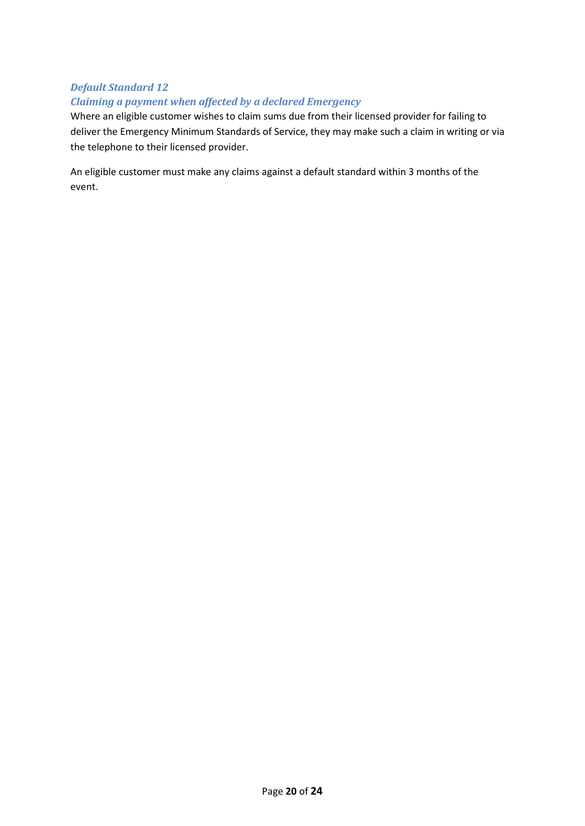## *Default Standard 12 Claiming a payment when affected by a declared Emergency*

Where an eligible customer wishes to claim sums due from their licensed provider for failing to deliver the Emergency Minimum Standards of Service, they may make such a claim in writing or via the telephone to their licensed provider.

An eligible customer must make any claims against a default standard within 3 months of the event.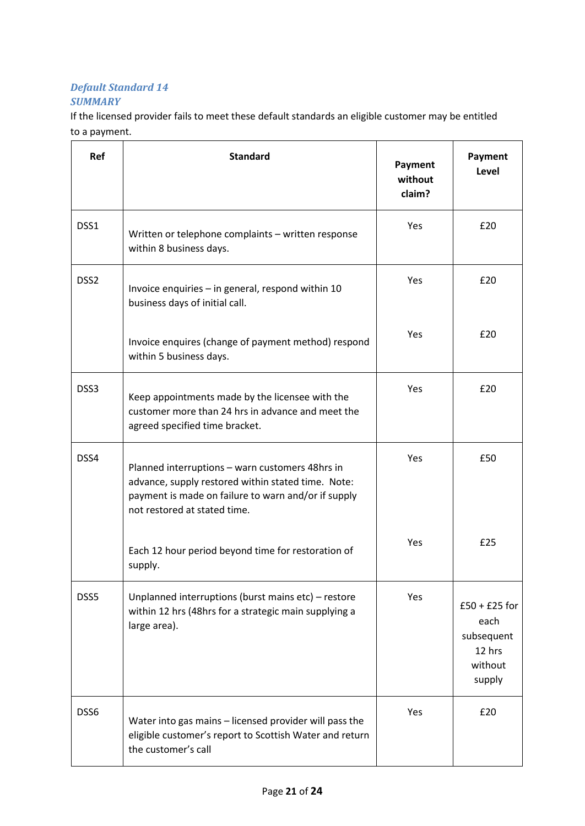## *Default Standard 14 SUMMARY*

If the licensed provider fails to meet these default standards an eligible customer may be entitled to a payment.

| Ref              | <b>Standard</b>                                                                                                                                                                              | Payment<br>without<br>claim? | Payment<br>Level                                                     |
|------------------|----------------------------------------------------------------------------------------------------------------------------------------------------------------------------------------------|------------------------------|----------------------------------------------------------------------|
| DSS1             | Written or telephone complaints - written response<br>within 8 business days.                                                                                                                | Yes                          | £20                                                                  |
| DSS <sub>2</sub> | Invoice enquiries - in general, respond within 10<br>business days of initial call.                                                                                                          | Yes                          | £20                                                                  |
|                  | Invoice enquires (change of payment method) respond<br>within 5 business days.                                                                                                               | Yes                          | £20                                                                  |
| DSS3             | Keep appointments made by the licensee with the<br>customer more than 24 hrs in advance and meet the<br>agreed specified time bracket.                                                       | Yes                          | £20                                                                  |
| DSS4             | Planned interruptions - warn customers 48hrs in<br>advance, supply restored within stated time. Note:<br>payment is made on failure to warn and/or if supply<br>not restored at stated time. | Yes                          | £50                                                                  |
|                  | Each 12 hour period beyond time for restoration of<br>supply.                                                                                                                                | Yes                          | £25                                                                  |
| DSS5             | Unplanned interruptions (burst mains etc) - restore<br>within 12 hrs (48hrs for a strategic main supplying a<br>large area).                                                                 | Yes                          | $£50 + £25$ for<br>each<br>subsequent<br>12 hrs<br>without<br>supply |
| DSS6             | Water into gas mains - licensed provider will pass the<br>eligible customer's report to Scottish Water and return<br>the customer's call                                                     | Yes                          | £20                                                                  |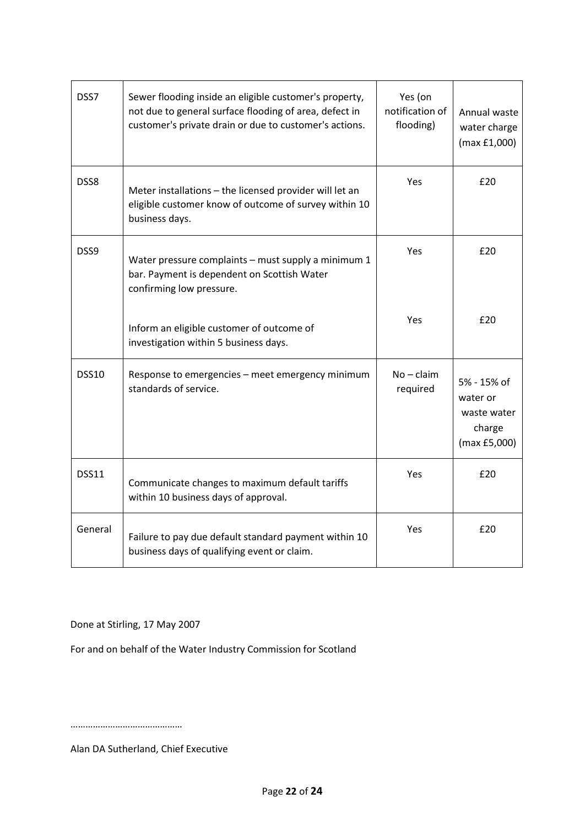| DSS7         | Sewer flooding inside an eligible customer's property,<br>not due to general surface flooding of area, defect in<br>customer's private drain or due to customer's actions. | Yes (on<br>notification of<br>flooding) | Annual waste<br>water charge<br>(max f1,000)                     |
|--------------|----------------------------------------------------------------------------------------------------------------------------------------------------------------------------|-----------------------------------------|------------------------------------------------------------------|
| DSS8         | Meter installations - the licensed provider will let an<br>eligible customer know of outcome of survey within 10<br>business days.                                         | Yes                                     | £20                                                              |
| DSS9         | Water pressure complaints - must supply a minimum 1<br>bar. Payment is dependent on Scottish Water<br>confirming low pressure.                                             | Yes                                     | £20                                                              |
|              | Inform an eligible customer of outcome of<br>investigation within 5 business days.                                                                                         | Yes                                     | £20                                                              |
| <b>DSS10</b> | Response to emergencies - meet emergency minimum<br>standards of service.                                                                                                  | $No - claim$<br>required                | 5% - 15% of<br>water or<br>waste water<br>charge<br>(max £5,000) |
| <b>DSS11</b> | Communicate changes to maximum default tariffs<br>within 10 business days of approval.                                                                                     | Yes                                     | £20                                                              |
| General      | Failure to pay due default standard payment within 10<br>business days of qualifying event or claim.                                                                       | Yes                                     | £20                                                              |

Done at Stirling, 17 May 2007

For and on behalf of the Water Industry Commission for Scotland

………………………………………

Alan DA Sutherland, Chief Executive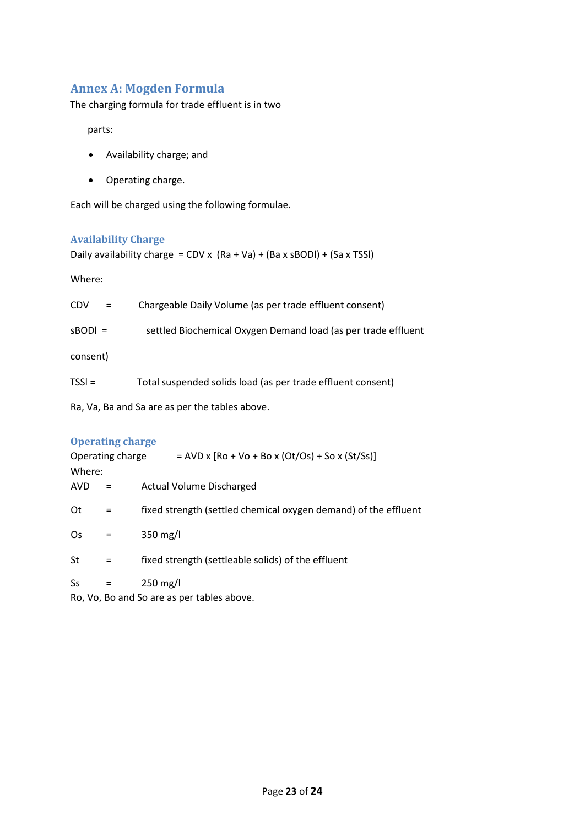## **Annex A: Mogden Formula**

The charging formula for trade effluent is in two

parts:

- Availability charge; and
- Operating charge.

Each will be charged using the following formulae.

## **Availability Charge**

Daily availability charge =  $CDV \times (Ra + Va) + (Ba \times SBODI) + (Sa \times TSSI)$ 

Where:

| <b>CDV</b>                                     | $=$ | Chargeable Daily Volume (as per trade effluent consent)       |  |  |
|------------------------------------------------|-----|---------------------------------------------------------------|--|--|
| $sBODI =$                                      |     | settled Biochemical Oxygen Demand load (as per trade effluent |  |  |
| consent)                                       |     |                                                               |  |  |
| $TSSI =$                                       |     | Total suspended solids load (as per trade effluent consent)   |  |  |
| Ra, Va, Ba and Sa are as per the tables above. |     |                                                               |  |  |
|                                                |     |                                                               |  |  |

## **Operating charge**

| Operating charge |          | $=$ AVD x [Ro + Vo + Bo x (Ot/Os) + So x (St/Ss)]               |
|------------------|----------|-----------------------------------------------------------------|
| Where:           |          |                                                                 |
| AVD              | Ξ        | <b>Actual Volume Discharged</b>                                 |
| 0t               |          | fixed strength (settled chemical oxygen demand) of the effluent |
| Os               |          | $350$ mg/l                                                      |
| St               | $\equiv$ | fixed strength (settleable solids) of the effluent              |
| Ss               |          | $250$ mg/l                                                      |

Ro, Vo, Bo and So are as per tables above.